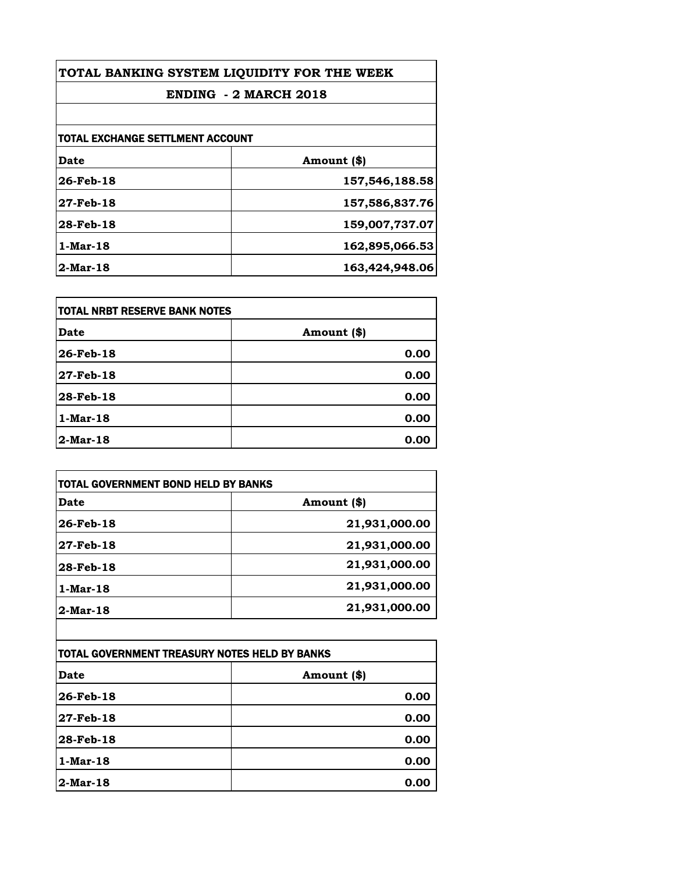| TOTAL BANKING SYSTEM LIQUIDITY FOR THE WEEK<br><b>ENDING - 2 MARCH 2018</b> |                |
|-----------------------------------------------------------------------------|----------------|
|                                                                             |                |
| TOTAL EXCHANGE SETTLMENT ACCOUNT                                            |                |
| <b>Date</b>                                                                 | Amount (\$)    |
| 26-Feb-18                                                                   | 157,546,188.58 |
| 27-Feb-18                                                                   | 157,586,837.76 |
| 28-Feb-18                                                                   | 159,007,737.07 |
| 1-Mar-18                                                                    | 162,895,066.53 |
| $2$ -Mar-18                                                                 | 163,424,948.06 |

| <b>TOTAL NRBT RESERVE BANK NOTES</b> |             |
|--------------------------------------|-------------|
| Date                                 | Amount (\$) |
| 26-Feb-18                            | 0.00        |
| 27-Feb-18                            | 0.00        |
| 28-Feb-18                            | 0.00        |
| $1-Mar-18$                           | 0.00        |
| 2-Mar-18                             | 0.00        |

| Date        | Amount (\$)   |
|-------------|---------------|
| 26-Feb-18   | 21,931,000.00 |
| 27 Feb-18   | 21,931,000.00 |
| 28-Feb-18   | 21,931,000.00 |
| 1-Mar-18    | 21,931,000.00 |
| $2$ -Mar-18 | 21,931,000.00 |

| TOTAL GOVERNMENT TREASURY NOTES HELD BY BANKS |             |
|-----------------------------------------------|-------------|
| Date                                          | Amount (\$) |
| 26-Feb-18                                     | 0.00        |
| 27-Feb-18                                     | 0.00        |
| 28-Feb-18                                     | 0.00        |
| $1$ -Mar-18                                   | 0.00        |
| $2$ -Mar-18                                   | 0.00        |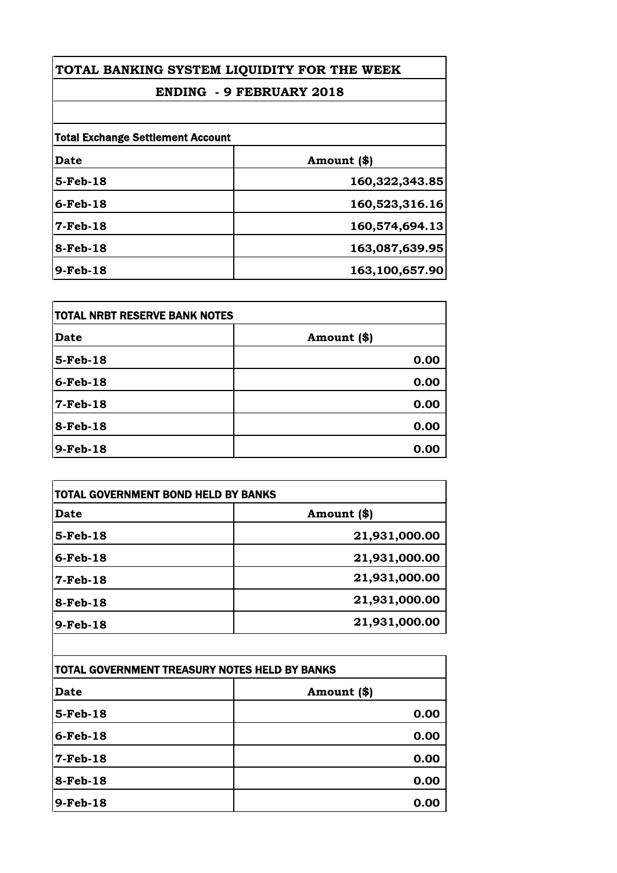# **ENDING - 9 FEBRUARY 2018**

| <b>Total Exchange Settlement Account</b> |                |
|------------------------------------------|----------------|
| Date                                     | Amount (\$)    |
| $5-Feb-18$                               | 160,322,343.85 |
| $6$ -Feb-18                              | 160,523,316.16 |
| $7-Feb-18$                               | 160,574,694.13 |
| 8-Feb-18                                 | 163,087,639.95 |
| 9-Feb-18                                 | 163,100,657.90 |

| <b>TOTAL NRBT RESERVE BANK NOTES</b> |             |
|--------------------------------------|-------------|
| <b>Date</b>                          | Amount (\$) |
| $5$ -Feb-18                          | 0.00        |
| $6$ -Feb-18                          | 0.00        |
| $7-Feb-18$                           | 0.00        |
| 8-Feb-18                             | 0.00        |
| 9-Feb-18                             | 0.00        |

| <b>Date</b>                                   | Amount (\$)                    |
|-----------------------------------------------|--------------------------------|
| $5-Feb-18$                                    | 21,931,000.00                  |
| $6$ -Feb-18                                   | 21,931,000.00                  |
| $7$ -Feb-18                                   | 21,931,000.00                  |
| 8-Feb-18                                      | 21,931,000.00                  |
| $9-Feb-18$                                    | 21,931,000.00                  |
|                                               |                                |
| TOTAL GOVERNMENT TREASURY NOTES HELD BY BANKS |                                |
| Inses                                         | $A_{\text{max}} = A + 10^{11}$ |

| <b>TOTAL GOVERNMENT TREASURY NOTES HELD BY BANKS</b> |             |
|------------------------------------------------------|-------------|
| <b>Date</b>                                          | Amount (\$) |
| 5-Feb-18                                             | 0.00        |
| $6$ -Feb-18                                          | 0.00        |
| $7-Feb-18$                                           | 0.00        |
| $8$ -Feb-18                                          | 0.00        |
| $9$ -Feb-18                                          | 0.00        |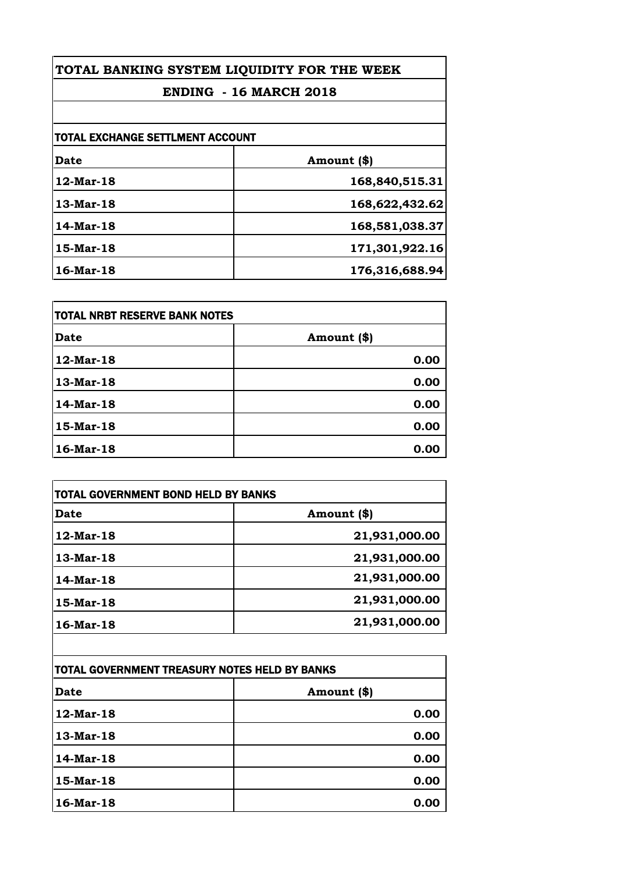# **ENDING - 16 MARCH 2018**

| <b>TOTAL EXCHANGE SETTLMENT ACCOUNT</b> |                |
|-----------------------------------------|----------------|
| <b>Date</b>                             | Amount (\$)    |
| 12-Mar-18                               | 168,840,515.31 |
| 13-Mar-18                               | 168,622,432.62 |
| 14-Mar-18                               | 168,581,038.37 |
| 15-Mar-18                               | 171,301,922.16 |
| 16-Mar-18                               | 176,316,688.94 |

| TOTAL NRBT RESERVE BANK NOTES |             |
|-------------------------------|-------------|
| Date                          | Amount (\$) |
| 12-Mar-18                     | 0.00        |
| 13-Mar-18                     | 0.00        |
| 14-Mar-18                     | 0.00        |
| 15-Mar-18                     | 0.00        |
| 16-Mar-18                     | 0.00        |

| Date         | Amount (\$)   |
|--------------|---------------|
| $12$ -Mar-18 | 21,931,000.00 |
| 13-Mar-18    | 21,931,000.00 |
| 14-Mar-18    | 21,931,000.00 |
| 15-Mar-18    | 21,931,000.00 |
| 16-Mar-18    | 21,931,000.00 |

| TOTAL GOVERNMENT TREASURY NOTES HELD BY BANKS |             |
|-----------------------------------------------|-------------|
| Date                                          | Amount (\$) |
| 12-Mar-18                                     | 0.00        |
| 13-Mar-18                                     | 0.00        |
| 14-Mar-18                                     | 0.00        |
| 15-Mar-18                                     | 0.00        |
| 16-Mar-18                                     | 0.00        |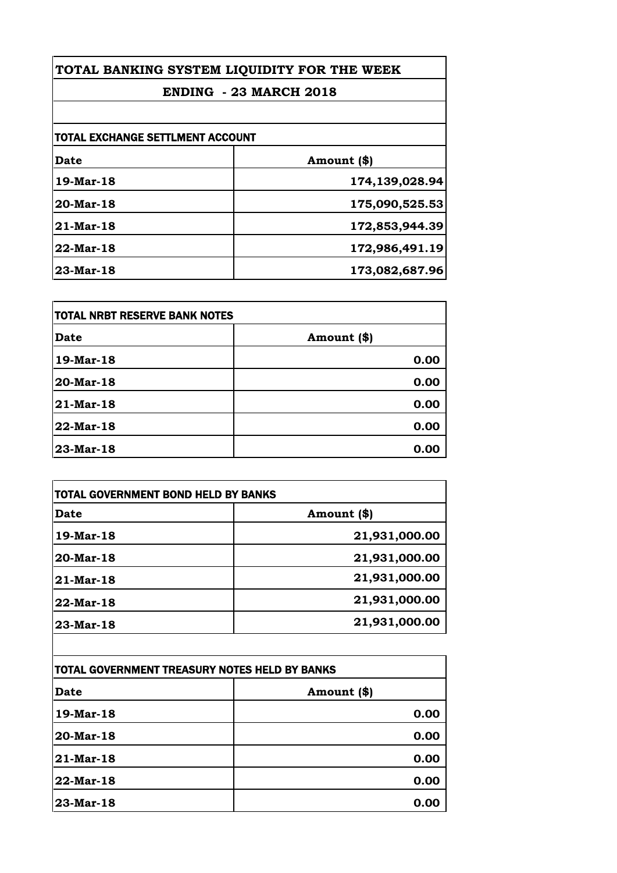# **ENDING - 23 MARCH 2018**

| TOTAL EXCHANGE SETTLMENT ACCOUNT |                |
|----------------------------------|----------------|
| Date                             | Amount (\$)    |
| 19-Mar-18                        | 174,139,028.94 |
| 20-Mar-18                        | 175,090,525.53 |
| $21$ -Mar-18                     | 172,853,944.39 |
| 22-Mar-18                        | 172,986,491.19 |
| $23$ -Mar-18                     | 173,082,687.96 |

| TOTAL NRBT RESERVE BANK NOTES |             |
|-------------------------------|-------------|
| Date                          | Amount (\$) |
| 19-Mar-18                     | 0.00        |
| 20-Mar-18                     | 0.00        |
| 21-Mar-18                     | 0.00        |
| 22-Mar-18                     | 0.00        |
| 23-Mar-18                     | 0.00        |

| <b>Date</b>  | Amount (\$)   |
|--------------|---------------|
| 19-Mar-18    | 21,931,000.00 |
| 20-Mar-18    | 21,931,000.00 |
| $21$ -Mar-18 | 21,931,000.00 |
| 22-Mar-18    | 21,931,000.00 |
| 23-Mar-18    | 21,931,000.00 |

| TOTAL GOVERNMENT TREASURY NOTES HELD BY BANKS |             |
|-----------------------------------------------|-------------|
| Date                                          | Amount (\$) |
| 19-Mar-18                                     | 0.00        |
| 20-Mar-18                                     | 0.00        |
| 21-Mar-18                                     | 0.00        |
| 22-Mar-18                                     | 0.00        |
| 23-Mar-18                                     | 0.00        |